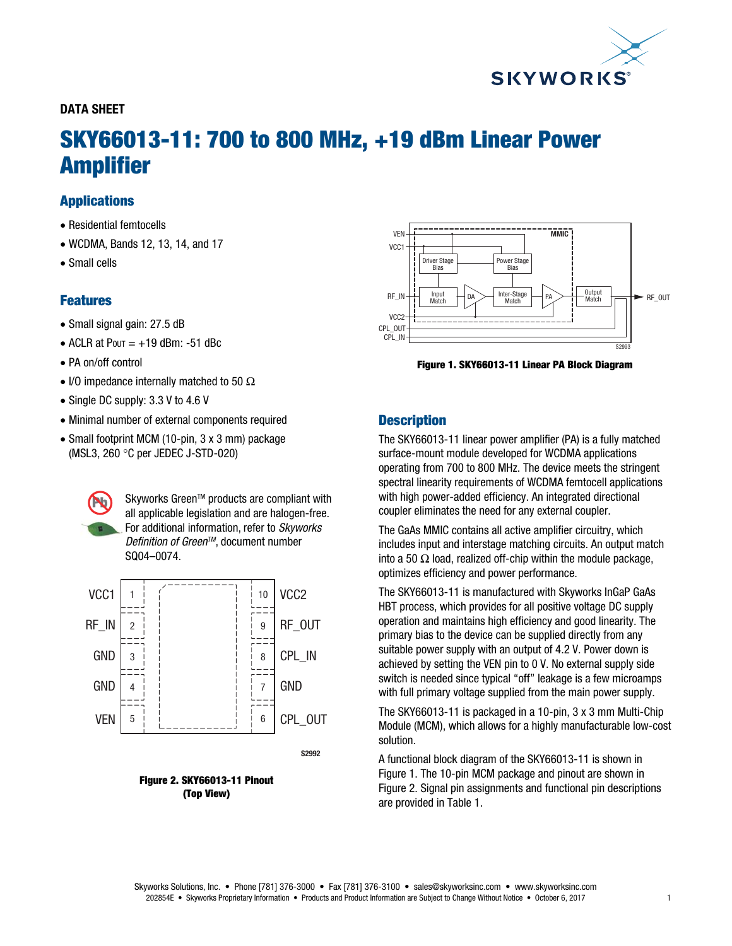

### DATA SHEET

# SKY66013-11: 700 to 800 MHz, +19 dBm Linear Power Amplifier

### **Applications**

- Residential femtocells
- WCDMA, Bands 12, 13, 14, and 17
- Small cells

### Features

- Small signal gain: 27.5 dB
- $\bullet$  ACLR at Pout =  $+19$  dBm: -51 dBc
- PA on/off control
- I/O impedance internally matched to 50  $\Omega$
- Single DC supply: 3.3 V to 4.6 V
- Minimal number of external components required
- Small footprint MCM (10-pin, 3 x 3 mm) package (MSL3, 260 °C per JEDEC J-STD-020)

Skyworks Green™ products are compliant with all applicable legislation and are halogen-free. For additional information, refer to *Skyworks Definition of Green™*, document number SQ04–0074.







Figure 1. SKY66013-11 Linear PA Block Diagram

### **Description**

The SKY66013-11 linear power amplifier (PA) is a fully matched surface-mount module developed for WCDMA applications operating from 700 to 800 MHz. The device meets the stringent spectral linearity requirements of WCDMA femtocell applications with high power-added efficiency. An integrated directional coupler eliminates the need for any external coupler.

The GaAs MMIC contains all active amplifier circuitry, which includes input and interstage matching circuits. An output match into a 50  $\Omega$  load, realized off-chip within the module package, optimizes efficiency and power performance.

The SKY66013-11 is manufactured with Skyworks InGaP GaAs HBT process, which provides for all positive voltage DC supply operation and maintains high efficiency and good linearity. The primary bias to the device can be supplied directly from any suitable power supply with an output of 4.2 V. Power down is achieved by setting the VEN pin to 0 V. No external supply side switch is needed since typical "off" leakage is a few microamps with full primary voltage supplied from the main power supply.

The SKY66013-11 is packaged in a 10-pin, 3 x 3 mm Multi-Chip Module (MCM), which allows for a highly manufacturable low-cost solution.

A functional block diagram of the SKY66013-11 is shown in Figure 1. The 10-pin MCM package and pinout are shown in Figure 2. Signal pin assignments and functional pin descriptions are provided in Table 1.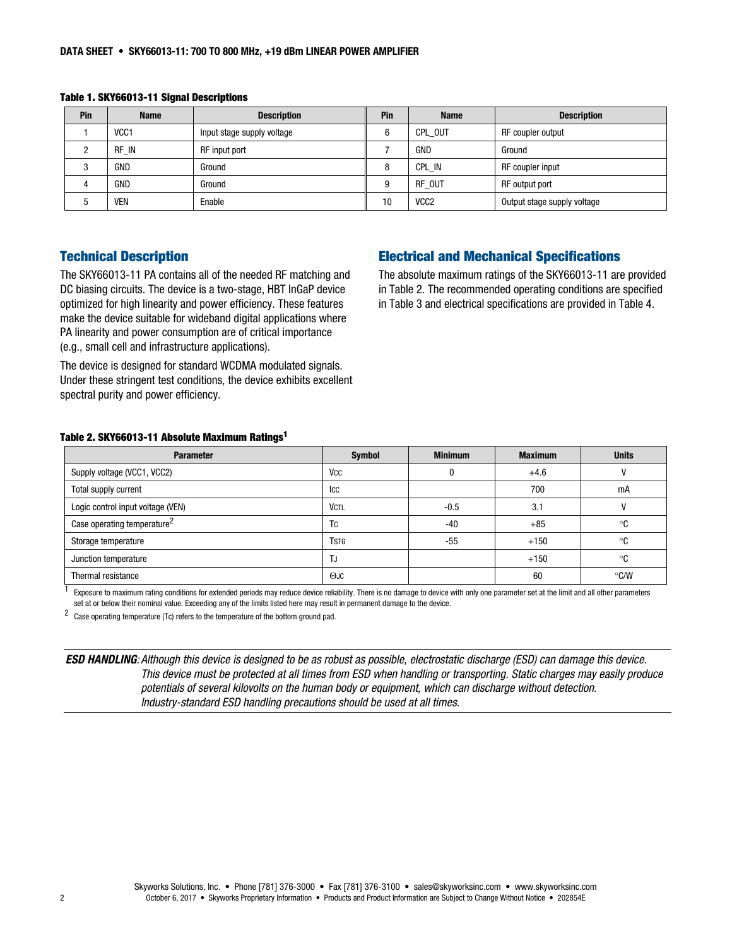| Pin | <b>Name</b>      | <b>Description</b>         | Pin | <b>Name</b>      | <b>Description</b>          |
|-----|------------------|----------------------------|-----|------------------|-----------------------------|
|     | VCC <sub>1</sub> | Input stage supply voltage | 6   | CPL OUT          | RF coupler output           |
|     | RF IN            | RF input port              |     | GND              | Ground                      |
|     | GND              | Ground                     | 8   | CPL IN           | RF coupler input            |
|     | GND              | Ground                     | 9   | RF OUT           | RF output port              |
|     | <b>VEN</b>       | Enable                     | 10  | VCC <sub>2</sub> | Output stage supply voltage |

Table 1. SKY66013-11 Signal Descriptions

### Technical Description

The SKY66013-11 PA contains all of the needed RF matching and DC biasing circuits. The device is a two-stage, HBT InGaP device optimized for high linearity and power efficiency. These features make the device suitable for wideband digital applications where PA linearity and power consumption are of critical importance (e.g., small cell and infrastructure applications).

The device is designed for standard WCDMA modulated signals. Under these stringent test conditions, the device exhibits excellent spectral purity and power efficiency.

## Electrical and Mechanical Specifications

The absolute maximum ratings of the SKY66013-11 are provided in Table 2. The recommended operating conditions are specified in Table 3 and electrical specifications are provided in Table 4.

#### Table 2. SKY66013-11 Absolute Maximum Ratings1

| <b>Parameter</b>                        | <b>Symbol</b>         | <b>Minimum</b> | <b>Maximum</b> | <b>Units</b>  |
|-----------------------------------------|-----------------------|----------------|----------------|---------------|
| Supply voltage (VCC1, VCC2)             | <b>V<sub>CC</sub></b> | O              | $+4.6$         |               |
| Total supply current                    | Icc                   |                | 700            | mA            |
| Logic control input voltage (VEN)       | <b>VCTL</b>           | $-0.5$         | 3.1            |               |
| Case operating temperature <sup>2</sup> | <b>TC</b>             | -40            | $+85$          | °C            |
| Storage temperature                     | <b>TSTG</b>           | -55            | $+150$         | °C            |
| Junction temperature                    | TJ                    |                | $+150$         | °C            |
| Thermal resistance                      | $O$ JC                |                | 60             | $\degree$ C/W |

 $1$  Exposure to maximum rating conditions for extended periods may reduce device reliability. There is no damage to device with only one parameter set at the limit and all other parameters set at or below their nominal value. Exceeding any of the limits listed here may result in permanent damage to the device.

2 Case operating temperature (Tc) refers to the temperature of the bottom ground pad.

ESD HANDLING*: Although this device is designed to be as robust as possible, electrostatic discharge (ESD) can damage this device. This device must be protected at all times from ESD when handling or transporting. Static charges may easily produce potentials of several kilovolts on the human body or equipment, which can discharge without detection. Industry-standard ESD handling precautions should be used at all times.*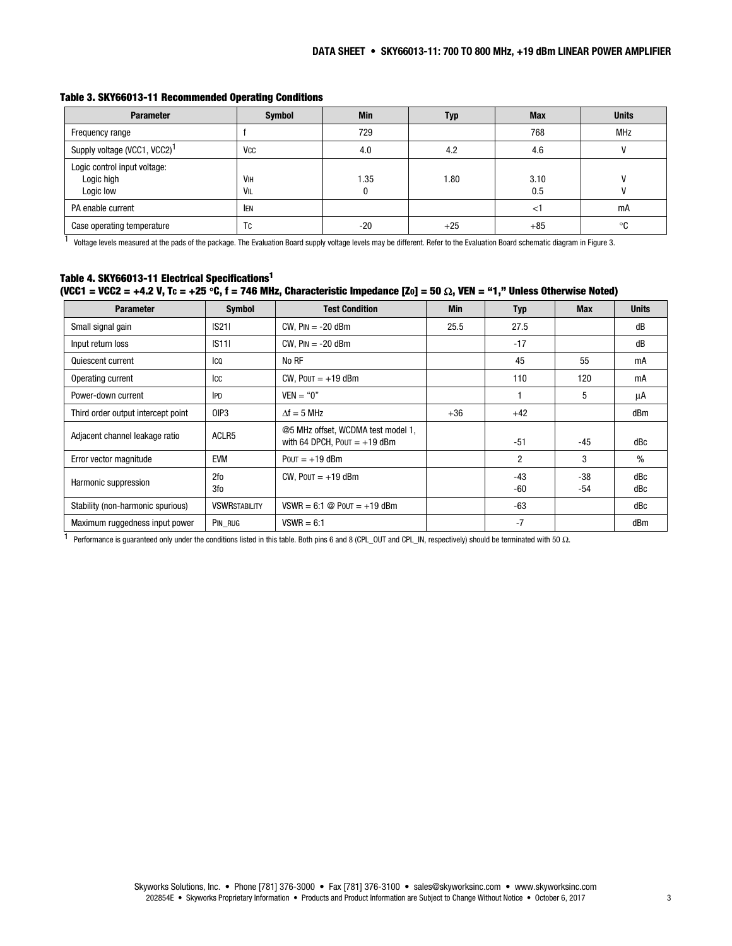| <b>Parameter</b>                                        | <b>Symbol</b>         | <b>Min</b> | Typ   | <b>Max</b>  | <b>Units</b> |
|---------------------------------------------------------|-----------------------|------------|-------|-------------|--------------|
| Frequency range                                         |                       | 729        |       | 768         | <b>MHz</b>   |
| Supply voltage (VCC1, VCC2) <sup>1</sup>                | <b>V<sub>CC</sub></b> | 4.0        | 4.2   | 4.6         |              |
| Logic control input voltage:<br>Logic high<br>Logic low | VIH<br>VIL            | .35        | 1.80  | 3.10<br>0.5 |              |
| PA enable current                                       | <b>IEN</b>            |            |       | ≺           | mA           |
| Case operating temperature                              | Tc                    | $-20$      | $+25$ | $+85$       | °C           |

#### Table 3. SKY66013-11 Recommended Operating Conditions

1 Voltage levels measured at the pads of the package. The Evaluation Board supply voltage levels may be different. Refer to the Evaluation Board schematic diagram in Figure 3.

#### Table 4. SKY66013-11 Electrical Specifications1 (VCC1 = VCC2 = +4.2 V, Tc = +25 °C, f = 746 MHz, Characteristic Impedance [Zo] = 50  $\Omega$ , VEN = "1," Unless Otherwise Noted)

| <b>Parameter</b>                   | <b>Test Condition</b><br><b>Symbol</b> |                                                                      | <b>Min</b> | Typ            | <b>Max</b>   | <b>Units</b> |
|------------------------------------|----------------------------------------|----------------------------------------------------------------------|------------|----------------|--------------|--------------|
| Small signal gain                  | S21                                    | $CW$ , $Pin = -20$ dBm                                               | 25.5       | 27.5           |              | dB           |
| Input return loss                  | S11                                    | $CW$ , $Pin = -20$ dBm                                               |            | $-17$          |              | dB           |
| Quiescent current                  | Ico                                    | No RF                                                                |            | 45             | 55           | mA           |
| Operating current                  | ICC                                    | CW, $POUT = +19$ dBm                                                 |            | 110            | 120          | mA           |
| Power-down current                 | <b>IPD</b>                             | $VEN = "0"$                                                          |            |                | 5            | μA           |
| Third order output intercept point | OIP <sub>3</sub>                       | $\Delta f = 5$ MHz                                                   | $+36$      | $+42$          |              | dBm          |
| Adjacent channel leakage ratio     | ACLR <sub>5</sub>                      | @5 MHz offset, WCDMA test model 1,<br>with 64 DPCH, $POUT = +19$ dBm |            | $-51$          | -45          | dBc          |
| Error vector magnitude             | <b>EVM</b>                             | $POUT = +19$ dBm                                                     |            | 2              | 3            | $\%$         |
| Harmonic suppression               | 2fo<br>3fo                             | CW, $POUT = +19$ dBm                                                 |            | $-43$<br>$-60$ | $-38$<br>-54 | dBc<br>dBc   |
| Stability (non-harmonic spurious)  | <b>VSWRSTABILITY</b>                   | $VSWR = 6:1 \text{ @}$ Pout = +19 dBm                                |            | $-63$          |              | dBc          |
| Maximum ruggedness input power     | PIN RUG                                | $VSWR = 6:1$                                                         |            | $-7$           |              | dBm          |

1 Performance is guaranteed only under the conditions listed in this table. Both pins 6 and 8 (CPL\_OUT and CPL\_IN, respectively) should be terminated with 50 Ω.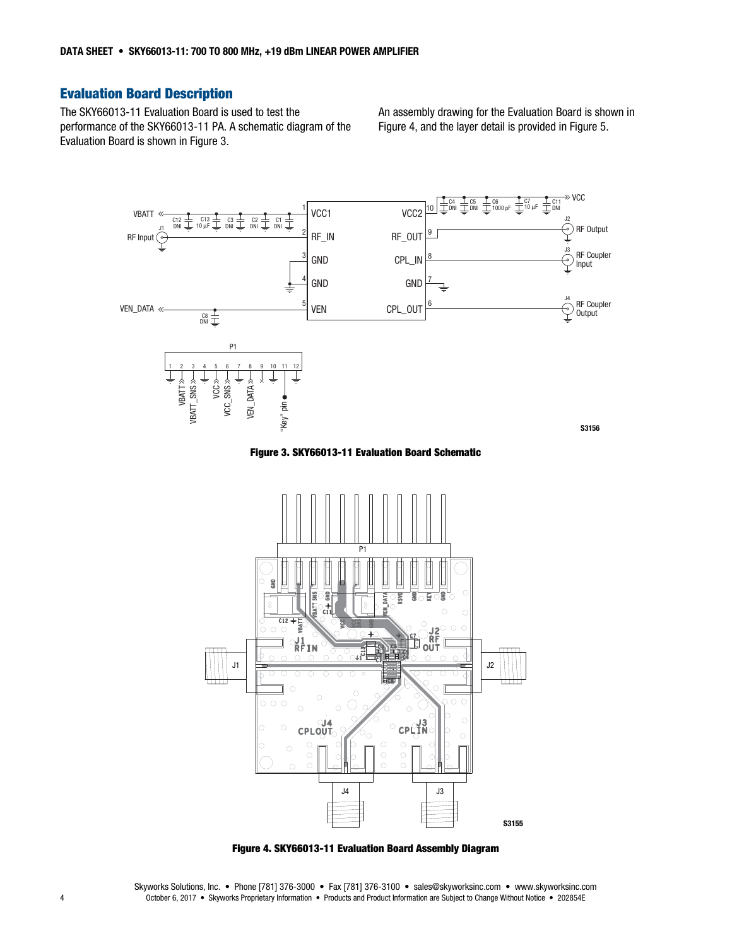## Evaluation Board Description

The SKY66013-11 Evaluation Board is used to test the performance of the SKY66013-11 PA. A schematic diagram of the Evaluation Board is shown in Figure 3.

An assembly drawing for the Evaluation Board is shown in Figure 4, and the layer detail is provided in Figure 5.



Figure 3. SKY66013-11 Evaluation Board Schematic



Figure 4. SKY66013-11 Evaluation Board Assembly Diagram

Skyworks Solutions, Inc. • Phone [781] 376-3000 • Fax [781] 376-3100 • sales@skyworksinc.com • www.skyworksinc.com 4 October 6, 2017 • Skyworks Proprietary Information • Products and Product Information are Subject to Change Without Notice • 202854E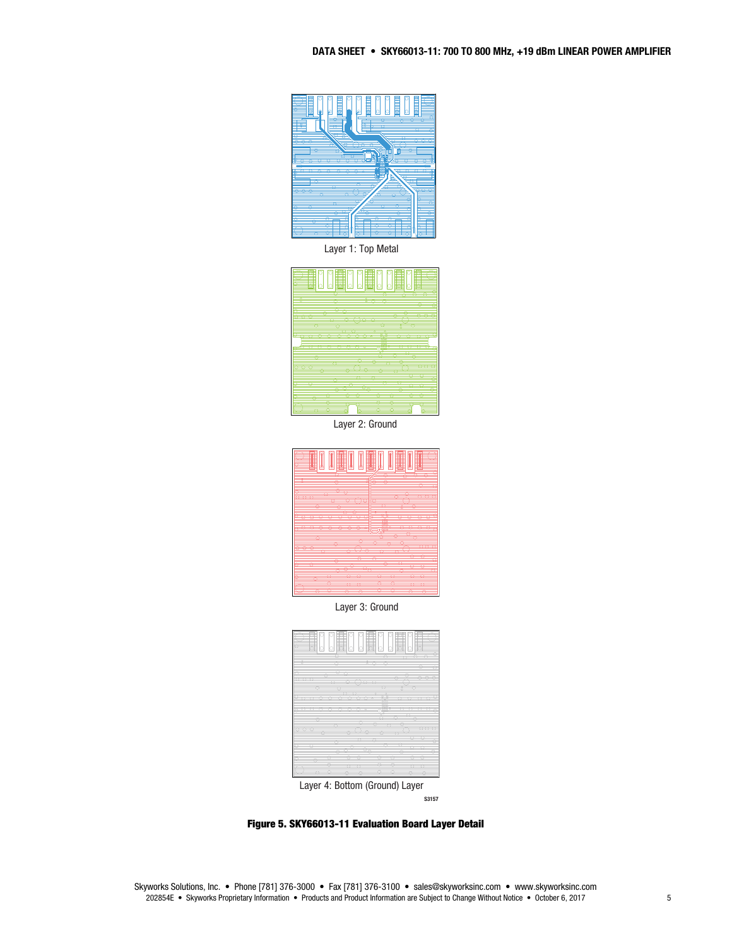

Layer 1: Top Metal



Layer 2: Ground



Layer 3: Ground



S3157

Figure 5. SKY66013-11 Evaluation Board Layer Detail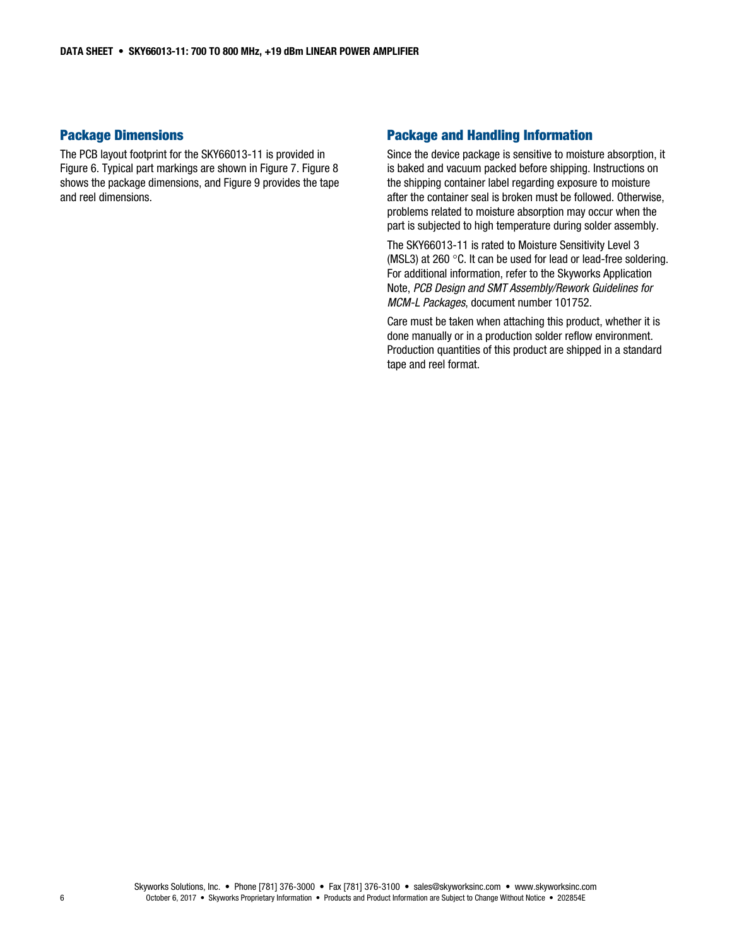### Package Dimensions

The PCB layout footprint for the SKY66013-11 is provided in Figure 6. Typical part markings are shown in Figure 7. Figure 8 shows the package dimensions, and Figure 9 provides the tape and reel dimensions.

### Package and Handling Information

Since the device package is sensitive to moisture absorption, it is baked and vacuum packed before shipping. Instructions on the shipping container label regarding exposure to moisture after the container seal is broken must be followed. Otherwise, problems related to moisture absorption may occur when the part is subjected to high temperature during solder assembly.

The SKY66013-11 is rated to Moisture Sensitivity Level 3 (MSL3) at 260 $\degree$ C. It can be used for lead or lead-free soldering. For additional information, refer to the Skyworks Application Note, *PCB Design and SMT Assembly/Rework Guidelines for MCM-L Packages*, document number 101752.

Care must be taken when attaching this product, whether it is done manually or in a production solder reflow environment. Production quantities of this product are shipped in a standard tape and reel format.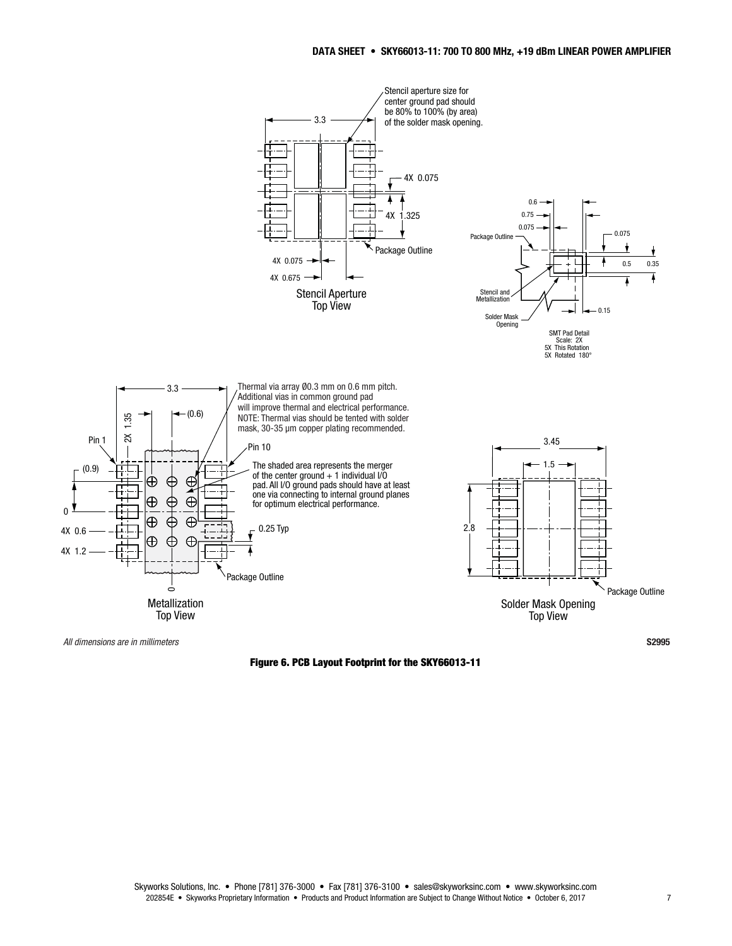

Figure 6. PCB Layout Footprint for the SKY66013-11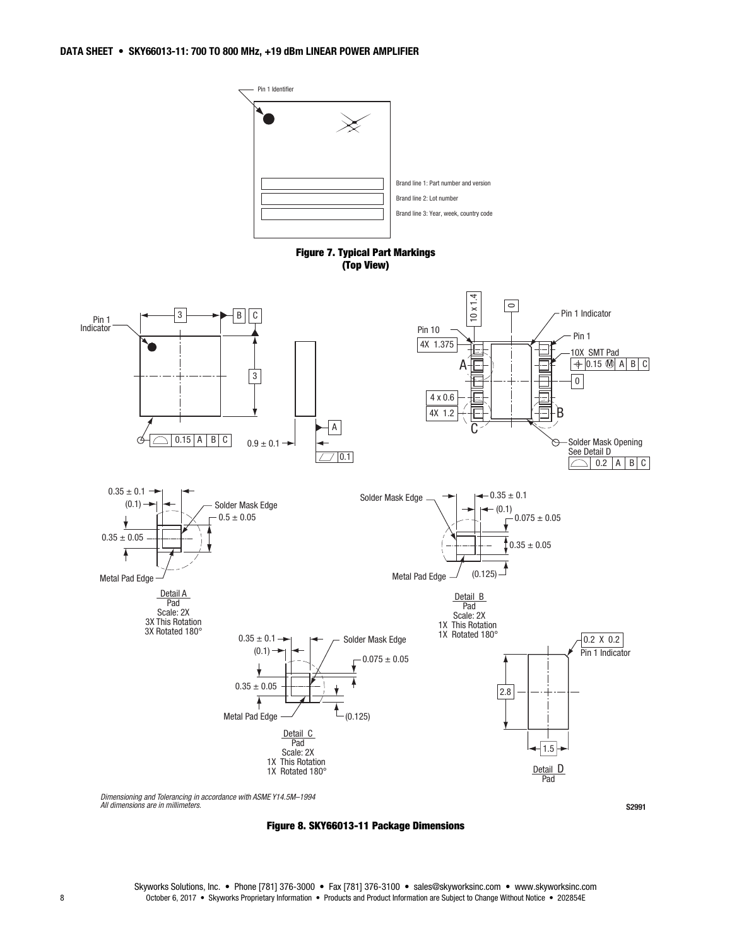

*Dimensioning and Tolerancing in accordance with ASME Y14.5M–1994 All dimensions are in millimeters.*



S2991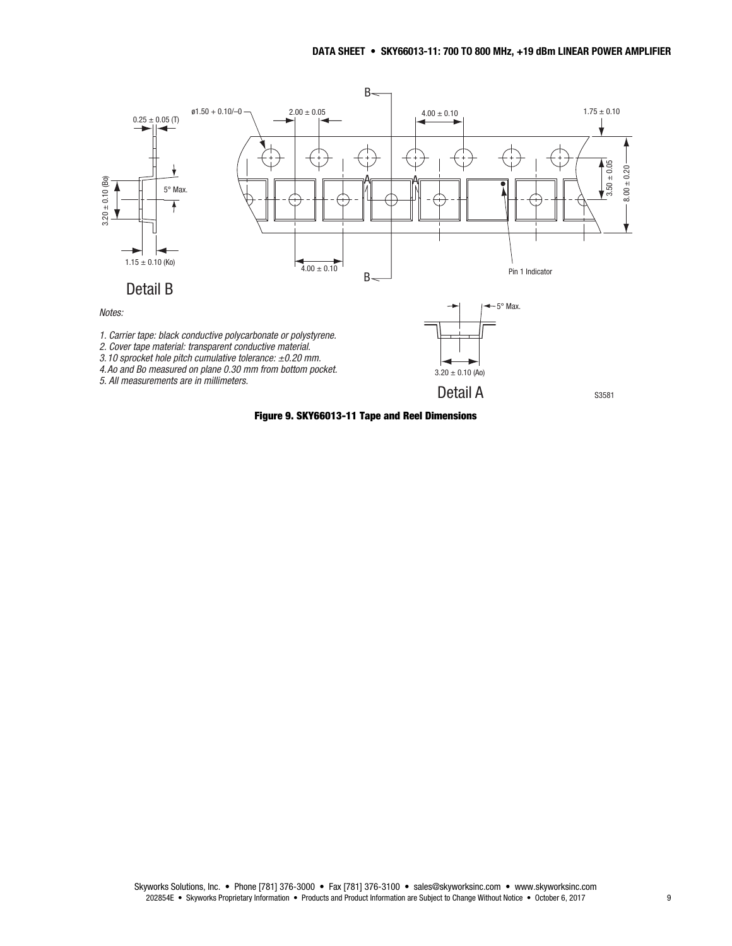

Figure 9. SKY66013-11 Tape and Reel Dimensions